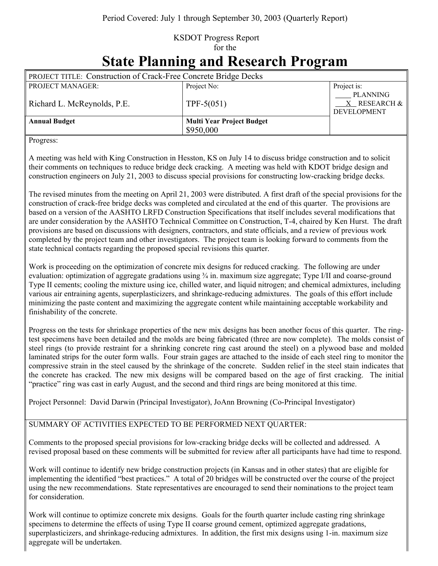## KSDOT Progress Report for the

## **State Planning and Research Program**

| <b>PROJECT TITLE: Construction of Crack-Free Concrete Bridge Decks</b> |                                               |                                                            |  |
|------------------------------------------------------------------------|-----------------------------------------------|------------------------------------------------------------|--|
| <b>PROJECT MANAGER:</b>                                                | Project No:                                   | Project is:                                                |  |
| Richard L. McReynolds, P.E.                                            | TPF-5 $(051)$                                 | <b>PLANNING</b><br>$X$ RESEARCH $\&$<br><b>DEVELOPMENT</b> |  |
| <b>Annual Budget</b>                                                   | <b>Multi Year Project Budget</b><br>\$950,000 |                                                            |  |

Progress:

A meeting was held with King Construction in Hesston, KS on July 14 to discuss bridge construction and to solicit their comments on techniques to reduce bridge deck cracking. A meeting was held with KDOT bridge design and construction engineers on July 21, 2003 to discuss special provisions for constructing low-cracking bridge decks.

The revised minutes from the meeting on April 21, 2003 were distributed. A first draft of the special provisions for the construction of crack-free bridge decks was completed and circulated at the end of this quarter. The provisions are based on a version of the AASHTO LRFD Construction Specifications that itself includes several modifications that are under consideration by the AASHTO Technical Committee on Construction, T-4, chaired by Ken Hurst. The draft provisions are based on discussions with designers, contractors, and state officials, and a review of previous work completed by the project team and other investigators. The project team is looking forward to comments from the state technical contacts regarding the proposed special revisions this quarter.

Work is proceeding on the optimization of concrete mix designs for reduced cracking. The following are under evaluation: optimization of aggregate gradations using ¾ in. maximum size aggregate; Type I/II and coarse-ground Type II cements; cooling the mixture using ice, chilled water, and liquid nitrogen; and chemical admixtures, including various air entraining agents, superplasticizers, and shrinkage-reducing admixtures. The goals of this effort include minimizing the paste content and maximizing the aggregate content while maintaining acceptable workability and finishability of the concrete.

Progress on the tests for shrinkage properties of the new mix designs has been another focus of this quarter. The ringtest specimens have been detailed and the molds are being fabricated (three are now complete). The molds consist of steel rings (to provide restraint for a shrinking concrete ring cast around the steel) on a plywood base and molded laminated strips for the outer form walls. Four strain gages are attached to the inside of each steel ring to monitor the compressive strain in the steel caused by the shrinkage of the concrete. Sudden relief in the steel stain indicates that the concrete has cracked. The new mix designs will be compared based on the age of first cracking. The initial "practice" ring was cast in early August, and the second and third rings are being monitored at this time.

Project Personnel: David Darwin (Principal Investigator), JoAnn Browning (Co-Principal Investigator)

## SUMMARY OF ACTIVITIES EXPECTED TO BE PERFORMED NEXT QUARTER:

Comments to the proposed special provisions for low-cracking bridge decks will be collected and addressed. A revised proposal based on these comments will be submitted for review after all participants have had time to respond.

Work will continue to identify new bridge construction projects (in Kansas and in other states) that are eligible for implementing the identified "best practices." A total of 20 bridges will be constructed over the course of the project using the new recommendations. State representatives are encouraged to send their nominations to the project team for consideration.

Work will continue to optimize concrete mix designs. Goals for the fourth quarter include casting ring shrinkage specimens to determine the effects of using Type II coarse ground cement, optimized aggregate gradations, superplasticizers, and shrinkage-reducing admixtures. In addition, the first mix designs using 1-in. maximum size aggregate will be undertaken.